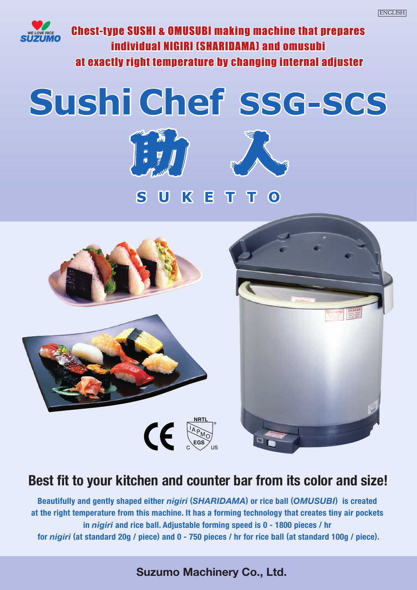

Chest-type SUSHI & OMUSUBI making machine that prepares individual NIGIRI (SHARIDAMA) and omusubi at exactly right temperature by changing internal adjuster

# **Sushi Chef SSG-SCS**





ETTO K



# **Best fit to your kitchen and counter bar from its color and size!**

**Beautifully and gently shaped either** *nigiri* **(***SHARIDAMA***) or rice ball (***OMUSUBI***) is created at the right temperature from this machine. It has a forming technology that creates tiny air pockets in** *nigiri* **and rice ball. Adjustable forming speed is 0 - 1800 pieces / hr for** *nigiri* **(at standard 20g / piece) and 0 - 750 pieces / hr for rice ball (at standard 100g / piece).**

# **Suzumo Machinery Co., Ltd.**